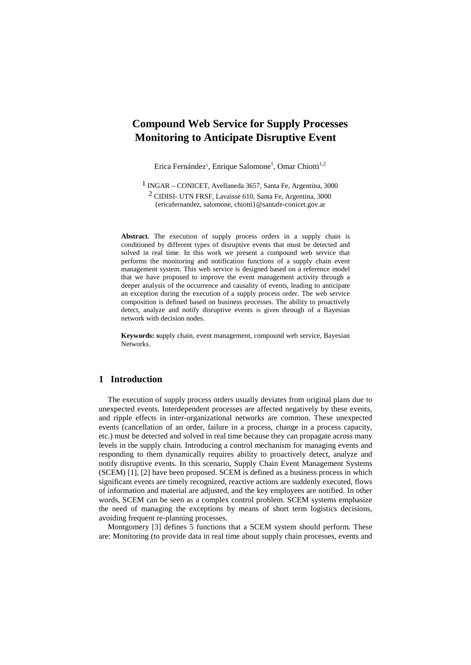# **Compound Web Service for Supply Processes Monitoring to Anticipate Disruptive Event**

Erica Fernández<sup>1</sup>, Enrique Salomone<sup>1</sup>, Omar Chiotti<sup>1,2</sup>

1 INGAR – CONICET, Avellaneda 3657, Santa Fe, Argentina, 3000 2 CIDISI- UTN FRSF, Lavaisse 610, Santa Fe, Argentina, 3000 {ericafernandez, salomone, chiotti}@santafe-conicet.gov.ar

**Abstract.** The execution of supply process orders in a supply chain is conditioned by different types of disruptive events that must be detected and solved in real time. In this work we present a compound web service that performs the monitoring and notification functions of a supply chain event management system. This web service is designed based on a reference model that we have proposed to improve the event management activity through a deeper analysis of the occurrence and causality of events, leading to anticipate an exception during the execution of a supply process order. The web service composition is defined based on business processes. The ability to proactively detect, analyze and notify disruptive events is given through of a Bayesian network with decision nodes.

**Keywords: s**upply chain, event management, compound web service, Bayesian Networks.

## **1 Introduction**

The execution of supply process orders usually deviates from original plans due to unexpected events. Interdependent processes are affected negatively by these events, and ripple effects in inter-organizational networks are common. These unexpected events (cancellation of an order, failure in a process, change in a process capacity, etc.) must be detected and solved in real time because they can propagate across many levels in the supply chain. Introducing a control mechanism for managing events and responding to them dynamically requires ability to proactively detect, analyze and notify disruptive events. In this scenario, Supply Chain Event Management Systems (SCEM) [1], [2] have been proposed. SCEM is defined as a business process in which significant events are timely recognized, reactive actions are suddenly executed, flows of information and material are adjusted, and the key employees are notified. In other words, SCEM can be seen as a complex control problem. SCEM systems emphasize the need of managing the exceptions by means of short term logistics decisions, avoiding frequent re-planning processes.

Montgomery [3] defines 5 functions that a SCEM system should perform. These are: Monitoring (to provide data in real time about supply chain processes, events and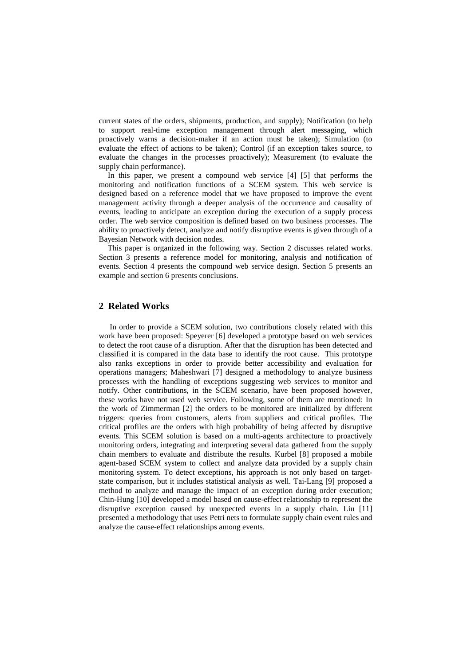current states of the orders, shipments, production, and supply); Notification (to help to support real-time exception management through alert messaging, which proactively warns a decision-maker if an action must be taken); Simulation (to evaluate the effect of actions to be taken); Control (if an exception takes source, to evaluate the changes in the processes proactively); Measurement (to evaluate the supply chain performance).

In this paper, we present a compound web service [4] [5] that performs the monitoring and notification functions of a SCEM system. This web service is designed based on a reference model that we have proposed to improve the event management activity through a deeper analysis of the occurrence and causality of events, leading to anticipate an exception during the execution of a supply process order. The web service composition is defined based on two business processes. The ability to proactively detect, analyze and notify disruptive events is given through of a Bayesian Network with decision nodes.

This paper is organized in the following way. Section 2 discusses related works. Section 3 presents a reference model for monitoring, analysis and notification of events. Section 4 presents the compound web service design. Section 5 presents an example and section 6 presents conclusions.

## **2 Related Works**

In order to provide a SCEM solution, two contributions closely related with this work have been proposed: Speyerer [6] developed a prototype based on web services to detect the root cause of a disruption. After that the disruption has been detected and classified it is compared in the data base to identify the root cause. This prototype also ranks exceptions in order to provide better accessibility and evaluation for operations managers; Maheshwari [7] designed a methodology to analyze business processes with the handling of exceptions suggesting web services to monitor and notify. Other contributions, in the SCEM scenario, have been proposed however, these works have not used web service. Following, some of them are mentioned: In the work of Zimmerman [2] the orders to be monitored are initialized by different triggers: queries from customers, alerts from suppliers and critical profiles. The critical profiles are the orders with high probability of being affected by disruptive events. This SCEM solution is based on a multi-agents architecture to proactively monitoring orders, integrating and interpreting several data gathered from the supply chain members to evaluate and distribute the results. Kurbel [8] proposed a mobile agent-based SCEM system to collect and analyze data provided by a supply chain monitoring system. To detect exceptions, his approach is not only based on targetstate comparison, but it includes statistical analysis as well. Tai-Lang [9] proposed a method to analyze and manage the impact of an exception during order execution; Chin-Hung [10] developed a model based on cause-effect relationship to represent the disruptive exception caused by unexpected events in a supply chain. Liu [11] presented a methodology that uses Petri nets to formulate supply chain event rules and analyze the cause-effect relationships among events.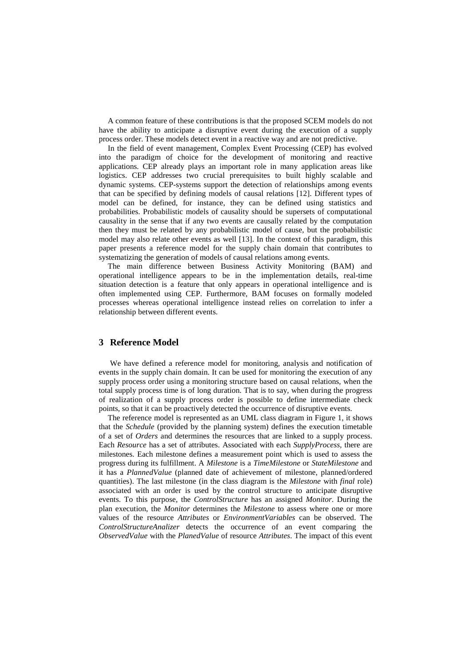A common feature of these contributions is that the proposed SCEM models do not have the ability to anticipate a disruptive event during the execution of a supply process order. These models detect event in a reactive way and are not predictive.

In the field of event management, Complex Event Processing (CEP) has evolved into the paradigm of choice for the development of monitoring and reactive applications. CEP already plays an important role in many application areas like logistics. CEP addresses two crucial prerequisites to built highly scalable and dynamic systems. CEP-systems support the detection of relationships among events that can be specified by defining models of causal relations [12]. Different types of model can be defined, for instance, they can be defined using statistics and probabilities. Probabilistic models of causality should be supersets of computational causality in the sense that if any two events are causally related by the computation then they must be related by any probabilistic model of cause, but the probabilistic model may also relate other events as well [13]. In the context of this paradigm, this paper presents a reference model for the supply chain domain that contributes to systematizing the generation of models of causal relations among events.

The main difference between Business Activity Monitoring (BAM) and operational intelligence appears to be in the implementation details, real-time situation detection is a feature that only appears in operational intelligence and is often implemented using CEP. Furthermore, BAM focuses on formally modeled processes whereas operational intelligence instead relies on correlation to infer a relationship between different events.

## **3 Reference Model**

We have defined a reference model for monitoring, analysis and notification of events in the supply chain domain. It can be used for monitoring the execution of any supply process order using a monitoring structure based on causal relations, when the total supply process time is of long duration. That is to say, when during the progress of realization of a supply process order is possible to define intermediate check points, so that it can be proactively detected the occurrence of disruptive events.

The reference model is represented as an UML class diagram in Figure 1, it shows that the *Schedule* (provided by the planning system) defines the execution timetable of a set of *Orders* and determines the resources that are linked to a supply process. Each *Resource* has a set of attributes. Associated with each *SupplyProcess*, there are milestones. Each milestone defines a measurement point which is used to assess the progress during its fulfillment. A *Milestone* is a *TimeMilestone* or *StateMilestone* and it has a *PlannedValue* (planned date of achievement of milestone, planned/ordered quantities). The last milestone (in the class diagram is the *Milestone* with *final* role) associated with an order is used by the control structure to anticipate disruptive events. To this purpose, the *ControlStructure* has an assigned *Monitor*. During the plan execution, the *Monitor* determines the *Milestone* to assess where one or more values of the resource *Attributes* or *EnvironmentVariables* can be observed. The *ControlStructureAnalizer* detects the occurrence of an event comparing the *ObservedValue* with the *PlanedValue* of resource *Attributes*. The impact of this event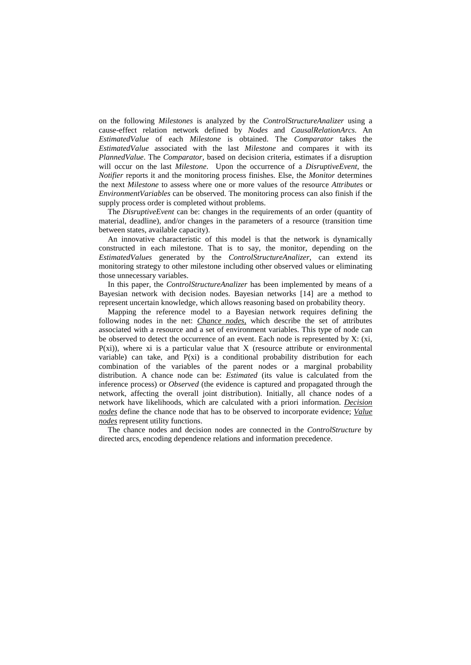on the following *Milestones* is analyzed by the *ControlStructureAnalizer* using a cause-effect relation network defined by *Nodes* and *CausalRelationArcs*. An *EstimatedValue* of each *Milestone* is obtained. The *Comparator* takes the *EstimatedValue* associated with the last *Milestone* and compares it with its *PlannedValue*. The *Comparator,* based on decision criteria, estimates if a disruption will occur on the last *Milestone*. Upon the occurrence of a *DisruptiveEvent*, the *Notifier* reports it and the monitoring process finishes. Else, the *Monitor* determines the next *Milestone* to assess where one or more values of the resource *Attributes* or *EnvironmentVariables* can be observed. The monitoring process can also finish if the supply process order is completed without problems.

The *DisruptiveEvent* can be: changes in the requirements of an order (quantity of material, deadline), and/or changes in the parameters of a resource (transition time between states, available capacity).

An innovative characteristic of this model is that the network is dynamically constructed in each milestone. That is to say, the monitor, depending on the *EstimatedValues* generated by the *ControlStructureAnalizer*, can extend its monitoring strategy to other milestone including other observed values or eliminating those unnecessary variables.

In this paper, the *ControlStructureAnalizer* has been implemented by means of a Bayesian network with decision nodes. Bayesian networks [14] are a method to represent uncertain knowledge, which allows reasoning based on probability theory.

Mapping the reference model to a Bayesian network requires defining the following nodes in the net: *Chance nodes,* which describe the set of attributes associated with a resource and a set of environment variables. This type of node can be observed to detect the occurrence of an event. Each node is represented by X: (xi,  $P(x_i)$ ), where xi is a particular value that X (resource attribute or environmental variable) can take, and  $P(xi)$  is a conditional probability distribution for each combination of the variables of the parent nodes or a marginal probability distribution. A chance node can be: *Estimated* (its value is calculated from the inference process) or *Observed* (the evidence is captured and propagated through the network, affecting the overall joint distribution). Initially, all chance nodes of a network have likelihoods, which are calculated with a priori information. *Decision nodes* define the chance node that has to be observed to incorporate evidence; *Value nodes* represent utility functions.

The chance nodes and decision nodes are connected in the *ControlStructure* by directed arcs, encoding dependence relations and information precedence.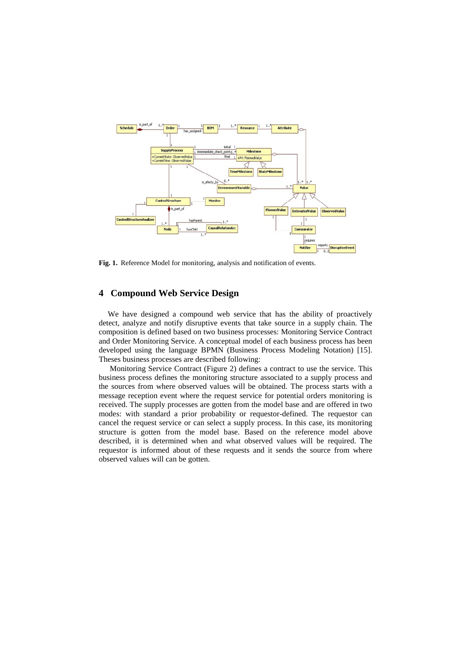

**Fig. 1.** Reference Model for monitoring, analysis and notification of events.

## **4 Compound Web Service Design**

We have designed a compound web service that has the ability of proactively detect, analyze and notify disruptive events that take source in a supply chain. The composition is defined based on two business processes: Monitoring Service Contract and Order Monitoring Service. A conceptual model of each business process has been developed using the language BPMN (Business Process Modeling Notation) [15]. Theses business processes are described following:

Monitoring Service Contract (Figure 2) defines a contract to use the service. This business process defines the monitoring structure associated to a supply process and the sources from where observed values will be obtained. The process starts with a message reception event where the request service for potential orders monitoring is received. The supply processes are gotten from the model base and are offered in two modes: with standard a prior probability or requestor-defined. The requestor can cancel the request service or can select a supply process. In this case, its monitoring structure is gotten from the model base. Based on the reference model above described, it is determined when and what observed values will be required. The requestor is informed about of these requests and it sends the source from where observed values will can be gotten.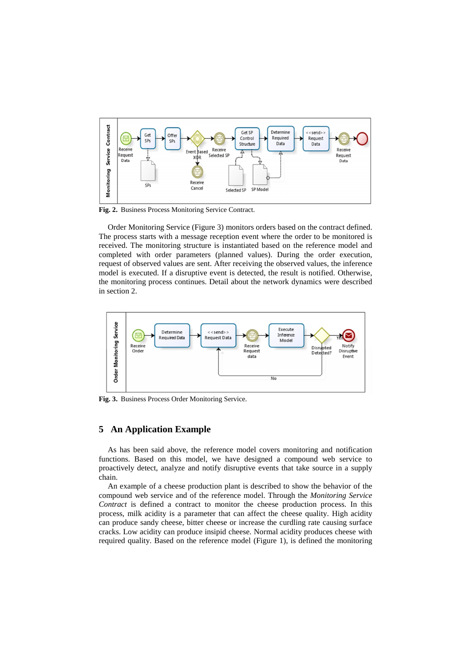

**Fig. 2.** Business Process Monitoring Service Contract.

Order Monitoring Service (Figure 3) monitors orders based on the contract defined. The process starts with a message reception event where the order to be monitored is received. The monitoring structure is instantiated based on the reference model and completed with order parameters (planned values). During the order execution, request of observed values are sent. After receiving the observed values, the inference model is executed. If a disruptive event is detected, the result is notified. Otherwise, the monitoring process continues. Detail about the network dynamics were described in section 2.



**Fig. 3.** Business Process Order Monitoring Service.

## **5 An Application Example**

As has been said above, the reference model covers monitoring and notification functions. Based on this model, we have designed a compound web service to proactively detect, analyze and notify disruptive events that take source in a supply chain.

An example of a cheese production plant is described to show the behavior of the compound web service and of the reference model. Through the *Monitoring Service Contract* is defined a contract to monitor the cheese production process. In this process, milk acidity is a parameter that can affect the cheese quality. High acidity can produce sandy cheese, bitter cheese or increase the curdling rate causing surface cracks. Low acidity can produce insipid cheese. Normal acidity produces cheese with required quality. Based on the reference model (Figure 1), is defined the monitoring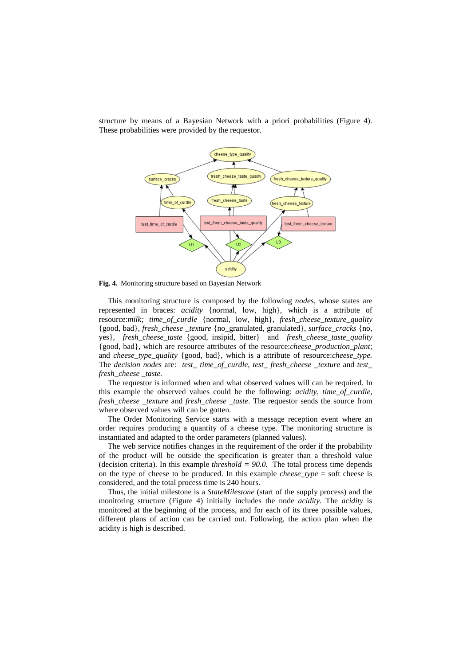

structure by means of a Bayesian Network with a priori probabilities (Figure 4). These probabilities were provided by the requestor.

**Fig. 4.** Monitoring structure based on Bayesian Network

This monitoring structure is composed by the following *nodes*, whose states are represented in braces: *acidity* {normal, low, high}, which is a attribute of resource:*milk; time\_of\_curdle* {normal, low, high}, *fresh\_cheese\_texture\_quality* {good, bad}, *fresh\_cheese \_texture* {no\_granulated, granulated}, *surface\_cracks* {no, yes}, *fresh\_cheese\_taste* {good, insipid, bitter} and *fresh\_cheese\_taste\_quality* {good, bad}, which are resource attributes of the resource:*cheese\_production\_plant*; and *cheese\_type\_quality* {good, bad}, which is a attribute of resource:*cheese\_type.*  The *decision nodes* are: *test\_ time\_of\_curdle*, *test\_ fresh\_cheese \_texture* and *test\_ fresh\_cheese \_taste.* 

The requestor is informed when and what observed values will can be required. In this example the observed values could be the following: *acidity, time\_of\_curdle, fresh\_cheese \_texture* and *fresh\_cheese \_taste*. The requestor sends the source from where observed values will can be gotten.

The Order Monitoring Service starts with a message reception event where an order requires producing a quantity of a cheese type. The monitoring structure is instantiated and adapted to the order parameters (planned values).

The web service notifies changes in the requirement of the order if the probability of the product will be outside the specification is greater than a threshold value (decision criteria). In this example *threshold* =  $90.0$ . The total process time depends on the type of cheese to be produced. In this example *cheese* type = soft cheese is considered, and the total process time is 240 hours.

Thus, the initial milestone is a *StateMilestone* (start of the supply process) and the monitoring structure (Figure 4) initially includes the node *acidity*. The *acidity* is monitored at the beginning of the process, and for each of its three possible values, different plans of action can be carried out. Following, the action plan when the acidity is high is described.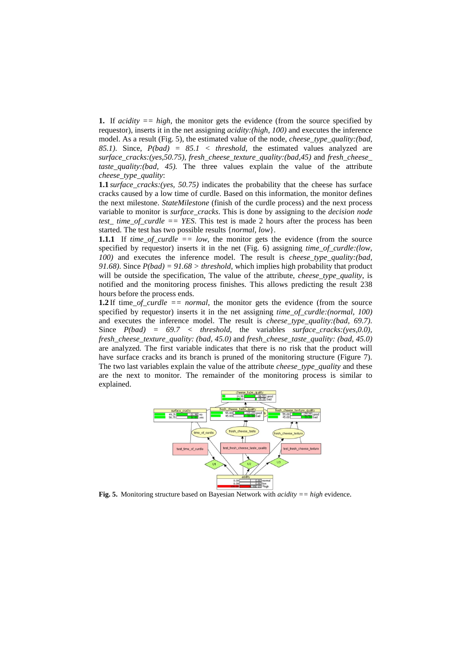**1.** If *acidity == high*, the monitor gets the evidence (from the source specified by requestor), inserts it in the net assigning *acidity:(high, 100)* and executes the inference model. As a result (Fig. 5), the estimated value of the node, *cheese\_type\_quality:(bad, 85.1)*. Since, *P(bad) = 85.1 < threshold*, the estimated values analyzed are *surface\_cracks:(yes,50.75), fresh\_cheese\_texture\_quality:(bad,45)* and *fresh\_cheese\_ taste\_quality:(bad, 45).* The three values explain the value of the attribute *cheese\_type\_quality*:

**1.1** *surface\_cracks:(yes, 50.75)* indicates the probability that the cheese has surface cracks caused by a low time of curdle. Based on this information, the monitor defines the next milestone. *StateMilestone* (finish of the curdle process) and the next process variable to monitor is *surface\_cracks*. This is done by assigning to the *decision node test time of curdle*  $==$  *<i>YES*. This test is made 2 hours after the process has been started. The test has two possible results {*normal, low*}.

**1.1.1** If *time of curdle*  $=$  *= low,* the monitor gets the evidence (from the source specified by requestor) inserts it in the net (Fig. 6) assigning *time of curdle:(low, 100)* and executes the inference model. The result is *cheese\_type\_quality:(bad, 91.68)*. Since *P(bad) = 91.68 > threshold*, which implies high probability that product will be outside the specification, The value of the attribute, *cheese* type quality, is notified and the monitoring process finishes. This allows predicting the result 238 hours before the process ends.

**1.2** If time*\_of\_curdle == normal,* the monitor gets the evidence (from the source specified by requestor) inserts it in the net assigning *time\_of\_curdle:(normal, 100)* and executes the inference model. The result is *cheese\_type\_quality:(bad, 69.7)*. Since  $P(bad) = 69.7 <$  threshold, the variables *surface cracks:(yes,0.0)*, *fresh\_cheese\_texture\_quality: (bad, 45.0)* and *fresh\_cheese\_taste\_quality: (bad, 45.0)* are analyzed*.* The first variable indicates that there is no risk that the product will have surface cracks and its branch is pruned of the monitoring structure (Figure 7). The two last variables explain the value of the attribute *cheese\_type\_quality* and these are the next to monitor. The remainder of the monitoring process is similar to explained.



**Fig. 5.** Monitoring structure based on Bayesian Network with *acidity == high* evidence*.*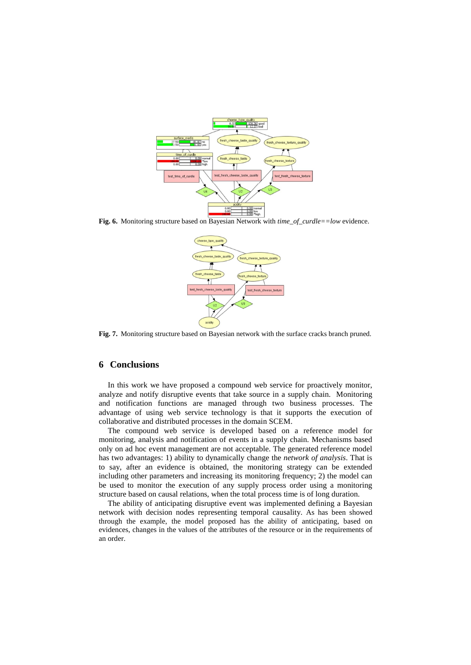

**Fig. 6.** Monitoring structure based on Bayesian Network with *time\_of\_curdle==low* evidence.



**Fig. 7.** Monitoring structure based on Bayesian network with the surface cracks branch pruned.

## **6 Conclusions**

In this work we have proposed a compound web service for proactively monitor, analyze and notify disruptive events that take source in a supply chain. Monitoring and notification functions are managed through two business processes. The advantage of using web service technology is that it supports the execution of collaborative and distributed processes in the domain SCEM.

The compound web service is developed based on a reference model for monitoring, analysis and notification of events in a supply chain. Mechanisms based only on ad hoc event management are not acceptable. The generated reference model has two advantages: 1) ability to dynamically change the *network of analysis*. That is to say, after an evidence is obtained, the monitoring strategy can be extended including other parameters and increasing its monitoring frequency; 2) the model can be used to monitor the execution of any supply process order using a monitoring structure based on causal relations, when the total process time is of long duration.

The ability of anticipating disruptive event was implemented defining a Bayesian network with decision nodes representing temporal causality. As has been showed through the example, the model proposed has the ability of anticipating, based on evidences, changes in the values of the attributes of the resource or in the requirements of an order.